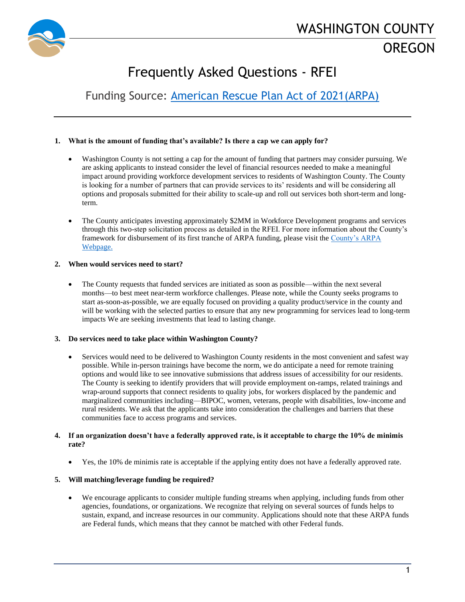

# Frequently Asked Questions - RFEI

Funding Source: [American Rescue Plan Act of 2021\(ARPA\)](https://www.congress.gov/bill/117th-congress/house-bill/1319/text)

# **1. What is the amount of funding that's available? Is there a cap we can apply for?**

- Washington County is not setting a cap for the amount of funding that partners may consider pursuing. We are asking applicants to instead consider the level of financial resources needed to make a meaningful impact around providing workforce development services to residents of Washington County. The County is looking for a number of partners that can provide services to its' residents and will be considering all options and proposals submitted for their ability to scale-up and roll out services both short-term and longterm.
- The County anticipates investing approximately \$2MM in Workforce Development programs and services through this two-step solicitation process as detailed in the RFEI. For more information about the County's framework for disbursement of its first tranche of ARPA funding, please visit th[e County's ARPA](https://www.co.washington.or.us/Support_Services/Finance/GrantManagement/american-rescue-plan-opportunities.cfm)  [Webpage.](https://www.co.washington.or.us/Support_Services/Finance/GrantManagement/american-rescue-plan-opportunities.cfm)

# **2. When would services need to start?**

• The County requests that funded services are initiated as soon as possible—within the next several months—to best meet near-term workforce challenges. Please note, while the County seeks programs to start as-soon-as-possible, we are equally focused on providing a quality product/service in the county and will be working with the selected parties to ensure that any new programming for services lead to long-term impacts We are seeking investments that lead to lasting change.

# **3. Do services need to take place within Washington County?**

Services would need to be delivered to Washington County residents in the most convenient and safest way possible. While in-person trainings have become the norm, we do anticipate a need for remote training options and would like to see innovative submissions that address issues of accessibility for our residents. The County is seeking to identify providers that will provide employment on-ramps, related trainings and wrap-around supports that connect residents to quality jobs, for workers displaced by the pandemic and marginalized communities including—BIPOC, women, veterans, people with disabilities, low-income and rural residents. We ask that the applicants take into consideration the challenges and barriers that these communities face to access programs and services.

## **4. If an organization doesn't have a federally approved rate, is it acceptable to charge the 10% de minimis rate?**

• Yes, the 10% de minimis rate is acceptable if the applying entity does not have a federally approved rate.

## **5. Will matching/leverage funding be required?**

• We encourage applicants to consider multiple funding streams when applying, including funds from other agencies, foundations, or organizations. We recognize that relying on several sources of funds helps to sustain, expand, and increase resources in our community. Applications should note that these ARPA funds are Federal funds, which means that they cannot be matched with other Federal funds.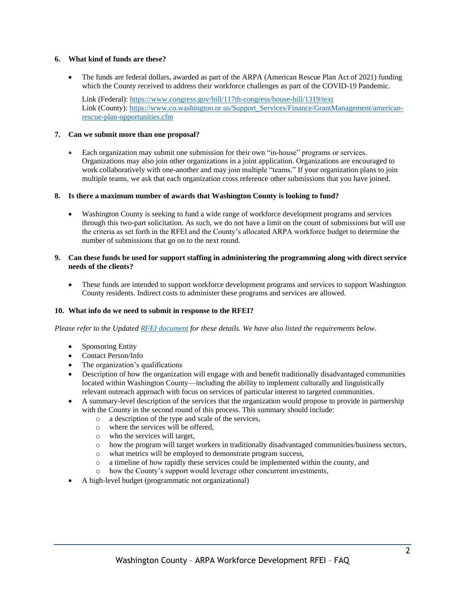# **6. What kind of funds are these?**

• The funds are federal dollars, awarded as part of th[e ARPA \(American Rescue Plan Act of 2021\)](https://www.congress.gov/bill/117th-congress/house-bill/1319/text) funding which the County received to address their workforce challenges as part of the COVID-19 Pandemic.

Link (Federal):<https://www.congress.gov/bill/117th-congress/house-bill/1319/text> Link (County): [https://www.co.washington.or.us/Support\\_Services/Finance/GrantManagement/american](https://www.co.washington.or.us/Support_Services/Finance/GrantManagement/american-rescue-plan-opportunities.cfm)[rescue-plan-opportunities.cfm](https://www.co.washington.or.us/Support_Services/Finance/GrantManagement/american-rescue-plan-opportunities.cfm)

# **7. Can we submit more than one proposal?**

• Each organization may submit one submission for their own "in-house" programs or services. Organizations may also join other organizations in a joint application. Organizations are encouraged to work collaboratively with one-another and may join multiple "teams." If your organization plans to join multiple teams, we ask that each organization cross reference other submissions that you have joined.

# **8. Is there a maximum number of awards that Washington County is looking to fund?**

• Washington County is seeking to fund a wide range of workforce development programs and services through this two-part solicitation. As such, we do not have a limit on the count of submissions but will use the criteria as set forth in the RFEI and the County's allocated ARPA workforce budget to determine the number of submissions that go on to the next round.

# **9. Can these funds be used for support staffing in administering the programming along with direct service needs of the clients?**

• These funds are intended to support workforce development programs and services to support Washington County residents. Indirect costs to administer these programs and services are allowed.

## **10. What info do we need to submit in response to the RFEI?**

*Please refer to the Updated [RFEI document](https://www.co.washington.or.us/Support_Services/Finance/GrantManagement/american-rescue-plan-opportunities.cfm) for these details. We have also listed the requirements below.*

- Sponsoring Entity
- Contact Person/Info
- The organization's qualifications
- Description of how the organization will engage with and benefit traditionally disadvantaged communities located within Washington County—including the ability to implement culturally and linguistically relevant outreach approach with focus on services of particular interest to targeted communities.
- A summary-level description of the services that the organization would propose to provide in partnership with the County in the second round of this process. This summary should include:
	- o a description of the type and scale of the services,
	- o where the services will be offered,
	- o who the services will target,
	- o how the program will target workers in traditionally disadvantaged communities/business sectors,
	- o what metrics will be employed to demonstrate program success,
	- o a timeline of how rapidly these services could be implemented within the county, and
	- o how the County's support would leverage other concurrent investments,
- A high-level budget (programmatic not organizational)